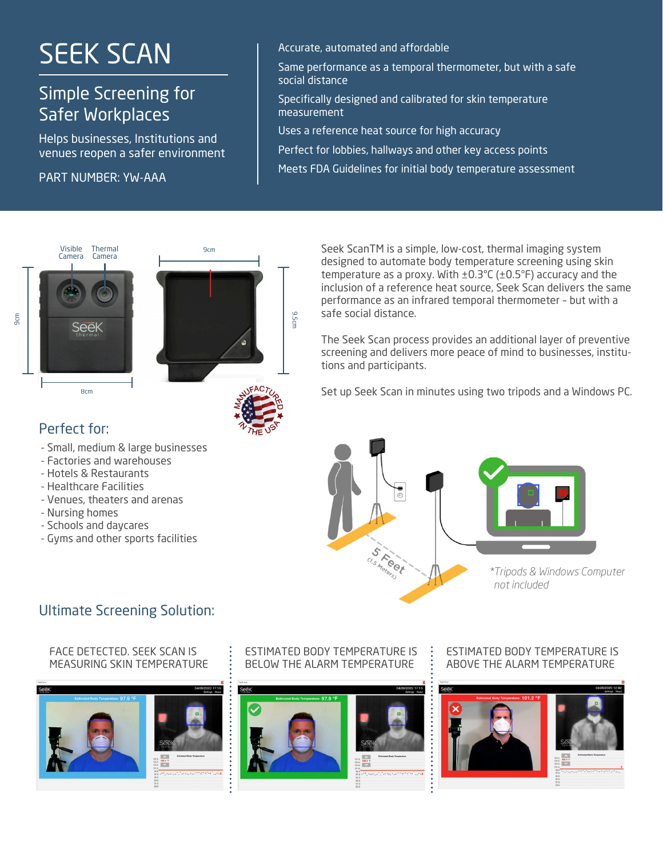# SEEK SCAN

# Simple Screening for Safer Workplaces

Sarer Workplaces<br>Helps businesses, Institutions and Uses a reference heat venues reopen a safer environment

vendes reopen a sarer environment<br>PART NUMBER: YW-AAA



Same performance as a temporal thermometer, but with a safe social distance

Specifically designed and calibrated for skin temperature measurement

Uses a reference heat source for high accuracy

Perfect for lobbies, hallways and other key access points

Meets FDA Guidelines for initial body temperature assessment





9.5cm

### Perfect for:

9cm

- Small, medium & large businesses
- Factories and warehouses
- Hotels & Restaurants
- Healthcare Facilities
- Venues, theaters and arenas
- Nursing homes
- Schools and daycares
- Gyms and other sports facilities

Seek ScanTM is a simple, low-cost, thermal imaging system designed to automate body temperature screening using skin temperature as a proxy. With  $\pm 0.3^{\circ}$ C ( $\pm 0.5^{\circ}$ F) accuracy and the inclusion of a reference heat source, Seek Scan delivers the same performance as an infrared temporal thermometer – but with a safe social distance.

The Seek Scan process provides an additional layer of preventive screening and delivers more peace of mind to businesses, institutions and participants.

Set up Seek Scan in minutes using two tripods and a Windows PC.



## Ultimate Screening Solution:

#### FACE DETECTED. SEEK SCAN IS MEASURING SKIN TEMPERATURE



### ESTIMATED BODY TEMPERATURE IS BELOW THE ALARM TEMPERATURE



### ESTIMATED BODY TEMPERATURE IS ABOVE THE ALARM TEMPERATURE

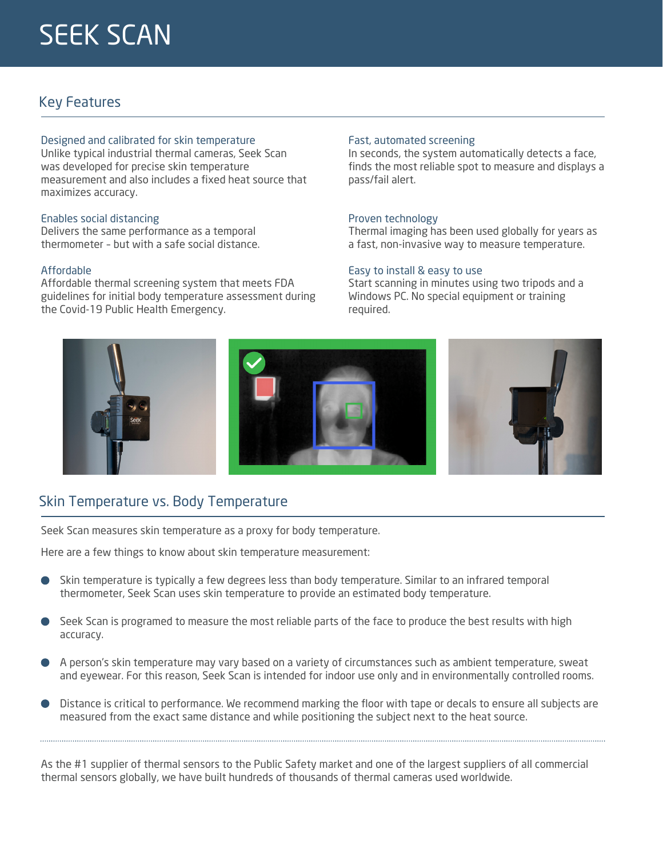## Key Features

#### Designed and calibrated for skin temperature

Unlike typical industrial thermal cameras, Seek Scan measurement and also includes a fixed heat source that maximizes accuracy. See Scan was thermal cameras, Seek Scan was seek Scan was seek Scan was seek Scan was seek developed for precise skin temperature measurement and also was developed for precise skin temperature

## Enables social distancing

Delivers the same performance as a temporal thermometer - but with a safe social distance. but with a safety

#### Affordable Affordable

Affordable thermal screening system that meets FDA Affordable thermal screening system that meets FDA guidelines for initial body temperature assessment during Covid-19 Public Health Emergency the Covid-19 Public Health Emergency.

#### Fast, automated screening

pass/fail alert. In seconds, the system automatically detects a face, finds the most reliable spot to measure and displays a

## Proven technology

Thermal imaging has been used globally for years as  $\frac{1}{2}$  as a behing the maging to measure for  $\frac{1}{2}$ a fast, non-invasive way to measure temperature a fast, non-invasive way to measure temperature.

#### Easy to install & easy to use Easy to install & easy to use

Start scanning in minutes using two tripods and a Start scanning in minutes using two tripods and a Windows PC. No special equipment or training required.



## Skin Temperature vs. Body Temperature

**SKIN TEMPERATURE VS BODY TEMPERATURE**

Seek Scan measures skin temperature as a proxy for body temperature.

**Seek Scan measures skin temperature as a proxy for body temperature.** Here are a few things to know about skin temperature measurement: Here are a few things to know about skin temperature measurement:

- Skin temperature is typically a few degrees less than body temperature. Similar to an infrared temperature is the state of the state of the state of the state of the state of the state of the state of the state of the stat thermometer, Seek Scan uses skin temperature to provide an estimated body temperature. an<br>kir<br>nei Skin temperature is typically a few degrees less than body temperature. Similar to an infrared temporal
- eek Scan is prograr<br>ccuracy.  $\mathsf{G}\mathsf{C}$  is programed to measure the most reliable parts of the face to produce the face to produce the best Seek Scan is programed to measure the most reliable parts of the face to produce the best results with high accuracy.
- A person's skin temperature may vary based on a variety of circumstances such as ambient and eyewear. For this reason, Seek Scan is intended for indoor use only and in environmentally controlled rooms. temperature, sweat and executive intended for the case  $\omega$  is in this reason, Seek Scan is induced for individual .<br>Pe<br>nd A person's skin temperature may vary based on a variety of circumstances such as ambient temperature, sweat
- istance is critical to performance. We recomm<br>leasured from the exact same distance and w measured from the exact same distance and while positioning the subject next to the heat source. Distance is critical to performance. We recommend marking the floor with tape or decals to ensure all subjects are

As the #1 supplier of thermal sensors to the Public Safety market and one of the largest suppliers of all commercial thermal sensors globally, we have built hundreds of thousands of thermal cameras used worldwide.